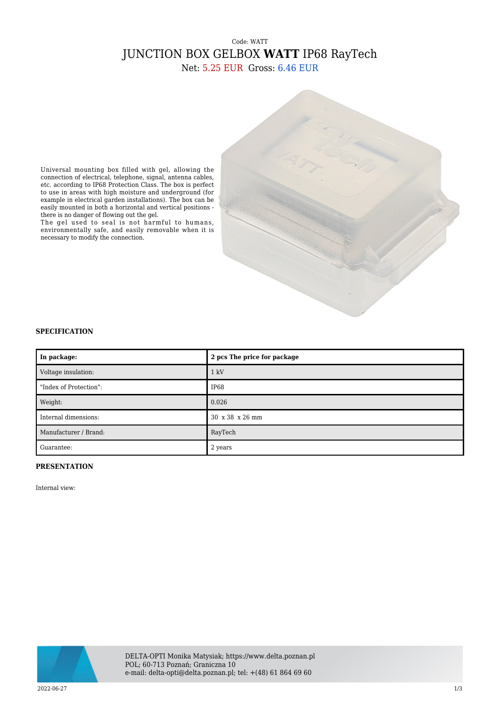# Code: WATT JUNCTION BOX GELBOX **WATT** IP68 RayTech

Net: 5.25 EUR Gross: 6.46 EUR

Universal mounting box filled with gel, allowing the connection of electrical, telephone, signal, antenna cables, etc. according to IP68 Protection Class. The box is perfect to use in areas with high moisture and underground (for example in electrical garden installations). The box can be easily mounted in both a horizontal and vertical positions there is no danger of flowing out the gel.

The gel used to seal is not harmful to humans, environmentally safe, and easily removable when it is necessary to modify the connection.

#### **SPECIFICATION**

| In package:            | 2 pcs The price for package |
|------------------------|-----------------------------|
| Voltage insulation:    | $1 \text{ kV}$              |
| "Index of Protection": | IP68                        |
| Weight:                | 0.026                       |
| Internal dimensions:   | 30 x 38 x 26 mm             |
| Manufacturer / Brand:  | RayTech                     |
| Guarantee:             | 2 years                     |

#### **PRESENTATION**

Internal view:

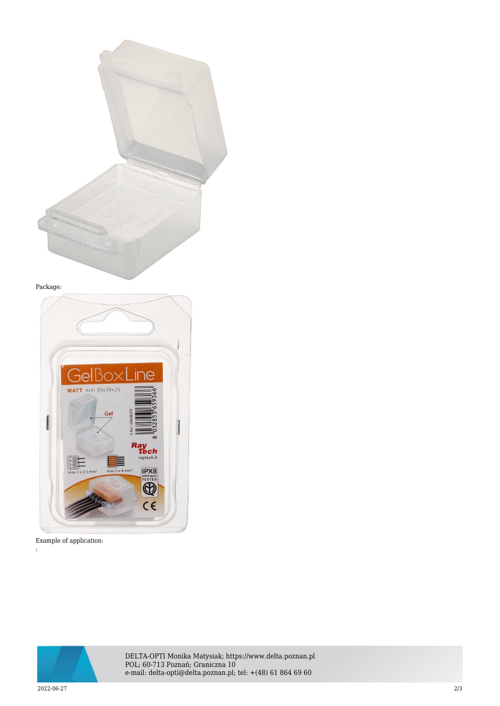

### Package:



## Example of application:

:



DELTA-OPTI Monika Matysiak; https://www.delta.poznan.pl POL; 60-713 Poznań; Graniczna 10 e-mail: delta-opti@delta.poznan.pl; tel: +(48) 61 864 69 60

2022-06-27 2/3